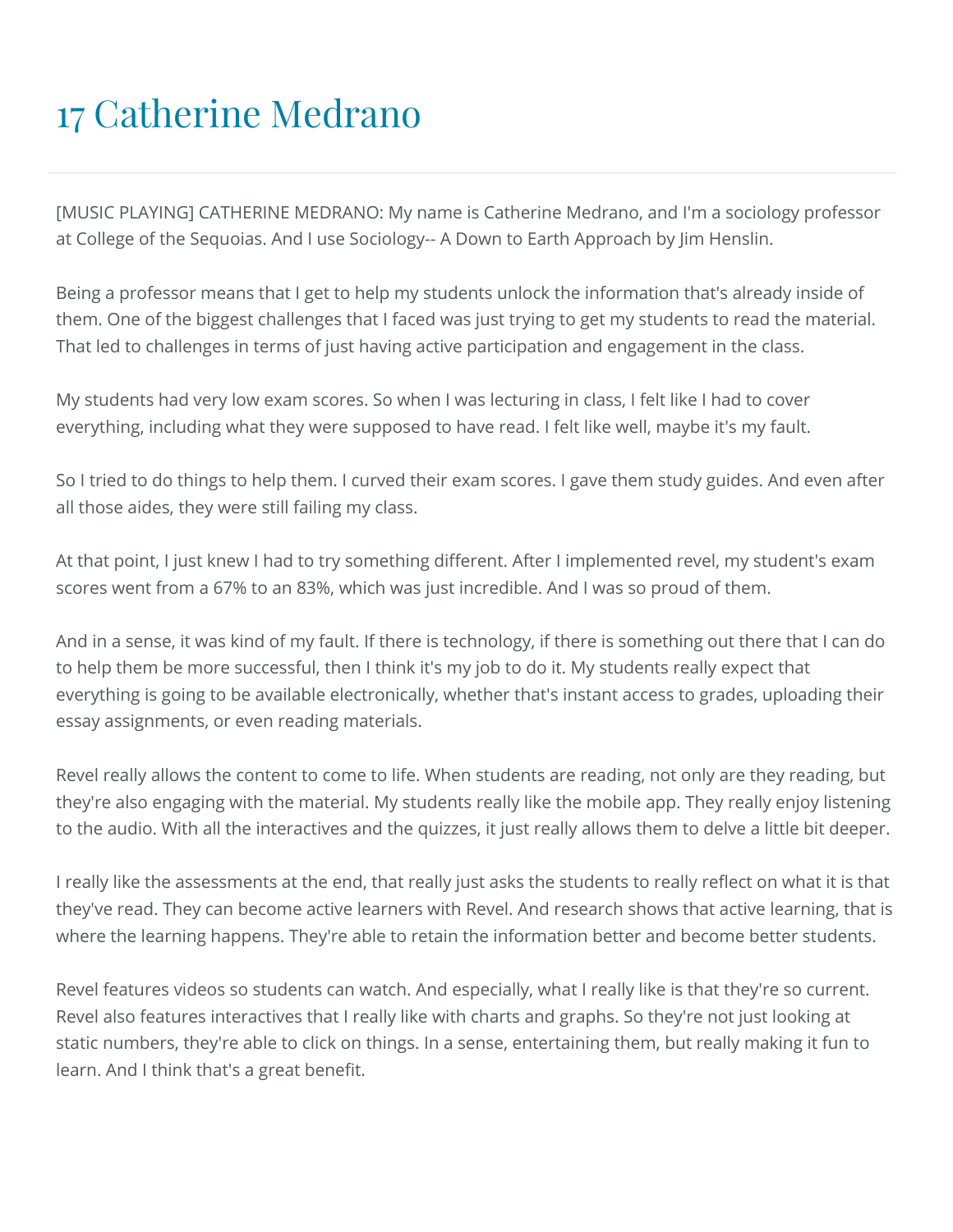## 17 Catherine Medrano

[MUSIC PLAYING] CATHERINE MEDRANO: My name is Catherine Medrano, and I'm a sociology professor at College of the Sequoias. And I use Sociology-- A Down to Earth Approach by Jim Henslin.

Being a professor means that I get to help my students unlock the information that's already inside of them. One of the biggest challenges that I faced was just trying to get my students to read the material. That led to challenges in terms of just having active participation and engagement in the class.

My students had very low exam scores. So when I was lecturing in class, I felt like I had to cover everything, including what they were supposed to have read. I felt like well, maybe it's my fault.

So I tried to do things to help them. I curved their exam scores. I gave them study guides. And even after all those aides, they were still failing my class.

At that point, I just knew I had to try something different. After I implemented revel, my student's exam scores went from a 67% to an 83%, which was just incredible. And I was so proud of them.

And in a sense, it was kind of my fault. If there is technology, if there is something out there that I can do to help them be more successful, then I think it's my job to do it. My students really expect that everything is going to be available electronically, whether that's instant access to grades, uploading their essay assignments, or even reading materials.

Revel really allows the content to come to life. When students are reading, not only are they reading, but they're also engaging with the material. My students really like the mobile app. They really enjoy listening to the audio. With all the interactives and the quizzes, it just really allows them to delve a little bit deeper.

I really like the assessments at the end, that really just asks the students to really reflect on what it is that they've read. They can become active learners with Revel. And research shows that active learning, that is where the learning happens. They're able to retain the information better and become better students.

Revel features videos so students can watch. And especially, what I really like is that they're so current. Revel also features interactives that I really like with charts and graphs. So they're not just looking at static numbers, they're able to click on things. In a sense, entertaining them, but really making it fun to learn. And I think that's a great benefit.